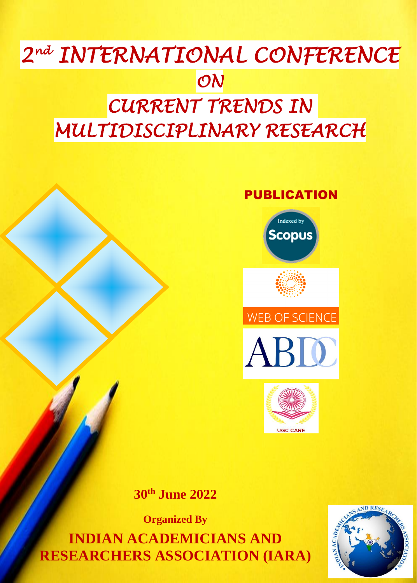# *2 nd INTERNATIONAL CONFERENCE ON*

## *CURRENT TRENDS IN MULTIDISCIPLINARY RESEARCH*

## PUBLICATION











## **30th June 2022**

**Organized By INDIAN ACADEMICIANS AND RESEARCHERS ASSOCIATION (IARA)**

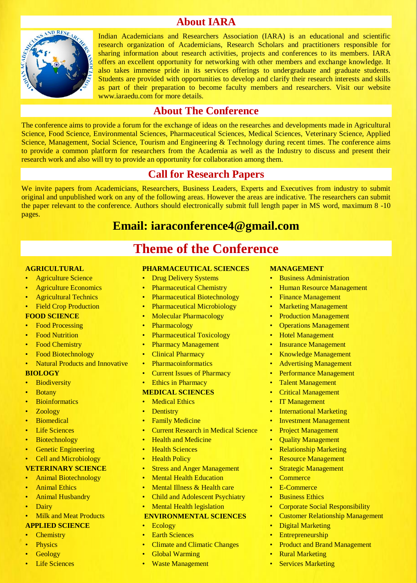## **About IARA**



Indian Academicians and Researchers Association (IARA) is an educational and scientific research organization of Academicians, Research Scholars and practitioners responsible for sharing information about research activities, projects and conferences to its members. IARA offers an excellent opportunity for networking with other members and exchange knowledge. It also takes immense pride in its services offerings to undergraduate and graduate students. Students are provided with opportunities to develop and clarify their research interests and skills as part of their preparation to become faculty members and researchers. Visit our website www.iaraedu.com for more details.

### **About The Conference**

The conference aims to provide a forum for the exchange of ideas on the researches and developments made in Agricultural Science, Food Science, Environmental Sciences, Pharmaceutical Sciences, Medical Sciences, Veterinary Science, Applied Science, Management, Social Science, Tourism and Engineering & Technology during recent times. The conference aims to provide a common platform for researchers from the Academia as well as the Industry to discuss and present their research work and also will try to provide an opportunity for collaboration among them.

## **Call for Research Papers**

We invite papers from Academicians, Researchers, Business Leaders, Experts and Executives from industry to submit original and unpublished work on any of the following areas. However the areas are indicative. The researchers can submit the paper relevant to the conference. Authors should electronically submit full length paper in MS word, maximum 8 -10 pages.

## **Email: iaraconference4@gmail.com**

**Theme of the Conference**

#### **AGRICULTURAL**

- Agriculture Science
- **Agriculture Economics**
- Agricultural Technics
- **Field Crop Production**

#### **FOOD SCIENCE**

- **Food Processing**
- **Food Nutrition**
- **Food Chemistry**
- Food Biotechnology
- Natural Products and Innovative

#### **BIOLOGY**

- **Biodiversity**
- **Botany**
- **Bioinformatics**
- Zoology
- **Biomedical**
- **Life Sciences**
- **Biotechnology**
- **Genetic Engineering**
- Cell and Microbiology

#### **VETERINARY SCIENCE**

- Animal Biotechnology
- **Animal Ethics**
- **Animal Husbandry**
- **Dairy**
- **Milk and Meat Products**

#### **APPLIED SCIENCE**

- **Chemistry**
- **Physics**
- Geology
- **Life Sciences**

#### **PHARMACEUTICAL SCIENCES**

- **Drug Delivery Systems**
- **Pharmaceutical Chemistry**
- Pharmaceutical Biotechnology
- Pharmaceutical Microbiology
- Molecular Pharmacology
- Pharmacology
- Pharmaceutical Toxicology
- Pharmacy Management
- Clinical Pharmacy
- **Pharmacoinformatics**
- **Current Issues of Pharmacy**
- Ethics in Pharmacy

#### **MEDICAL SCIENCES**

- Medical Ethics
- **Dentistry**
- Family Medicine
- **Current Research in Medical Science**
- **Health and Medicine**
- **Health Sciences**
- **Health Policy**
- **Stress and Anger Management**
- Mental Health Education
- Mental Illness & Health care
- Child and Adolescent Psychiatry
- Mental Health legislation

#### **ENVIRONMENTAL SCIENCES**

- Ecology
- **Earth Sciences**
- Climate and Climatic Changes
- **Global Warming**
- Waste Management

#### **MANAGEMENT**

- **Business Administration**
- Human Resource Management
- Finance Management
- **Marketing Management**
- **Production Management**
- **Operations Management**
- **Hotel Management**
- **Insurance Management**
- Knowledge Management
- Advertising Management
- Performance Management
- **Talent Management**
- Critical Management
- **IT Management**
- **International Marketing**
- **Investment Management**
- **Project Management**
- **Quality Management**
- Relationship Marketing
- **Resource Management**
- **Strategic Management**
- **Commerce**
- **E-Commerce**
- **Business Ethics**
- Corporate Social Responsibility
- Customer Relationship Management

**Product and Brand Management** 

**Digital Marketing Entrepreneurship** 

> **Rural Marketing Services Marketing**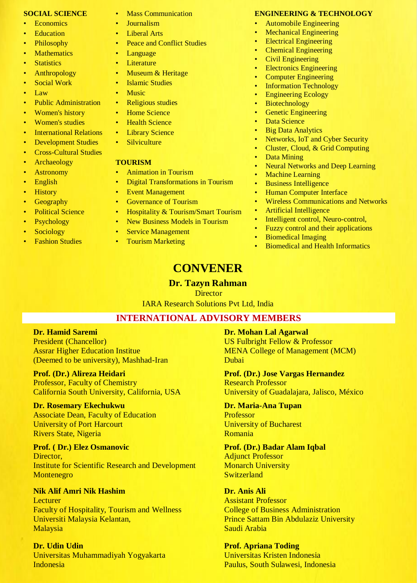#### **SOCIAL SCIENCE**

- **Economics**
- **Education**
- Philosophy
- **Mathematics**
- Statistics
- Anthropology
- **Social Work**
- Law
- Public Administration
- Women's history
- Women's studies
- International Relations
- Development Studies
- Cross-Cultural Studies
- Archaeology
- Astronomy
- English
- History
- **Geography**
- **Political Science**
- Psychology
- Sociology
- **Fashion Studies**
- **Mass Communication**
- Journalism
- **Liberal Arts**
- Peace and Conflict Studies
- **Language**
- **Literature**
- Museum & Heritage
- Islamic Studies
- **Music**
- Religious studies
- **Home Science**
- **Health Science**
- **Library Science**
- **Silviculture**

#### **TOURISM**

- Animation in Tourism
- Digital Transformations in Tourism
- Event Management
- Governance of Tourism
- Hospitality & Tourism/Smart Tourism
- New Business Models in Tourism
- **Service Management** 
	- **Tourism Marketing**

#### **ENGINEERING & TECHNOLOGY**

- Automobile Engineering
- **Mechanical Engineering**
- **Electrical Engineering**
- Chemical Engineering
- Civil Engineering
- Electronics Engineering
- **Computer Engineering**
- **Information Technology**
- Engineering Ecology
- **Biotechnology**
- **Genetic Engineering**
- Data Science
- **Big Data Analytics**
- Networks, IoT and Cyber Security
- Cluster, Cloud, & Grid Computing
- Data Mining
- **Neural Networks and Deep Learning**
- **Machine Learning**
- Business Intelligence
- Human Computer Interface
- Wireless Communications and Networks
- Artificial Intelligence
- Intelligent control, Neuro-control,
- Fuzzy control and their applications
- Biomedical Imaging
- **Biomedical and Health Informatics**

## **CONVENER**

#### **Dr. Tazyn Rahman**

**Director** 

IARA Research Solutions Pvt Ltd, India

#### **INTERNATIONAL ADVISORY MEMBERS**

#### **Dr. Hamid Saremi**

President (Chancellor) Assrar Higher Education Institue (Deemed to be university), Mashhad-Iran

#### **Prof. (Dr.) Alireza Heidari**

Professor, Faculty of Chemistry California South University, California, USA

#### **Dr. Rosemary Ekechukwu**

Associate Dean, Faculty of Education University of Port Harcourt Rivers State, Nigeria

#### **Prof. ( Dr.) Elez Osmanovic** Director.

Institute for Scientific Research and Development Montenegro

#### **Nik Alif Amri Nik Hashim**

Lecturer Faculty of Hospitality, Tourism and Wellness Universiti Malaysia Kelantan, Malaysia

#### **Dr. Udin Udin**

Universitas Muhammadiyah Yogyakarta Indonesia

#### **Dr. Mohan Lal Agarwal**

US Fulbright Fellow & Professor MENA College of Management (MCM) Dubai

**Prof. (Dr.) Jose Vargas Hernandez** Research Professor University of Guadalajara, Jalisco, México

#### **Dr. Maria-Ana Tupan**

Professor University of Bucharest Romania

#### **Prof. (Dr.) Badar Alam Iqbal** Adjunct Professor

**Monarch University Switzerland** 

**Prof. Apriana Toding**

Universitas Kristen Indonesia Paulus, South Sulawesi, Indonesia

#### **Dr. Anis Ali**

Assistant Professor College of Business Administration Prince Sattam Bin Abdulaziz University Saudi Arabia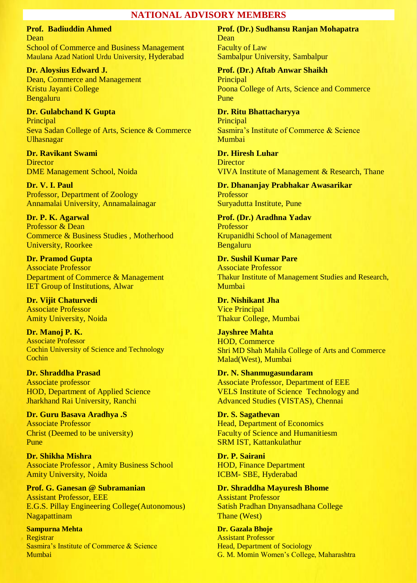#### **NATIONAL ADVISORY MEMBERS**

**Prof. Badiuddin Ahmed** Dean School of Commerce and Business Management Maulana Azad Nationl Urdu University, Hyderabad

**Dr. Aloysius Edward J.** Dean, Commerce and Management Kristu Jayanti College Bengaluru

**Dr. Gulabchand K Gupta** Principal Seva Sadan College of Arts, Science & Commerce Ulhasnagar

**Dr. Ravikant Swami Director** DME Management School, Noida

**Dr. V. I. Paul** Professor, Department of Zoology Annamalai University, Annamalainagar

**Dr. P. K. Agarwal**  Professor & Dean Commerce & Business Studies , Motherhood University, Roorkee

**Dr. Pramod Gupta**  Associate Professor Department of Commerce & Management IET Group of Institutions, Alwar

**Dr. Vijit Chaturvedi** Associate Professor Amity University, Noida

**Dr. Manoj P. K.** Associate Professor Cochin University of Science and Technology **Cochin** 

**Dr. Shraddha Prasad** Associate professor HOD, Department of Applied Science Jharkhand Rai University, Ranchi

**Dr. Guru Basava Aradhya .S**  Associate Professor Christ (Deemed to be university) Pune

**Dr. Shikha Mishra**  Associate Professor , Amity Business School Amity University, Noida

**Prof. G. Ganesan @ Subramanian** Assistant Professor, EEE E.G.S. Pillay Engineering College(Autonomous) Nagapattinam

**Sampurna Mehta Registrar** Sasmira's Institute of Commerce & Science Mumbai

**Prof. (Dr.) Sudhansu Ranjan Mohapatra** Dean Faculty of Law Sambalpur University, Sambalpur

**Prof. (Dr.) Aftab Anwar Shaikh Principal** Poona College of Arts, Science and Commerce Pune

**Dr. Ritu Bhattacharyya** Principal Sasmira's Institute of Commerce & Science Mumbai

**Dr. Hiresh Luhar Director** VIVA Institute of Management & Research, Thane

**Dr. Dhananjay Prabhakar Awasarikar** Professor Suryadutta Institute, Pune

**Prof. (Dr.) Aradhna Yadav** Professor Krupanidhi School of Management Bengaluru

**Dr. Sushil Kumar Pare** Associate Professor Thakur Institute of Management Studies and Research, Mumbai

**Dr. Nishikant Jha** Vice Principal Thakur College, Mumbai

**Jayshree Mahta** HOD, Commerce Shri MD Shah Mahila College of Arts and Commerce Malad(West), Mumbai

**Dr. N. Shanmugasundaram**  Associate Professor, Department of EEE VELS Institute of Science Technology and Advanced Studies (VISTAS), Chennai

**Dr. S. Sagathevan** Head, Department of Economics Faculty of Science and Humanitiesm SRM IST, Kattankulathur

**Dr. P. Sairani** HOD, Finance Department ICBM- SBE, Hyderabad

**Dr. Shraddha Mayuresh Bhome**  Assistant Professor Satish Pradhan Dnyansadhana College Thane (West)

**Dr. Gazala Bhoje** Assistant Professor Head, Department of Sociology G. M. Momin Women's College, Maharashtra